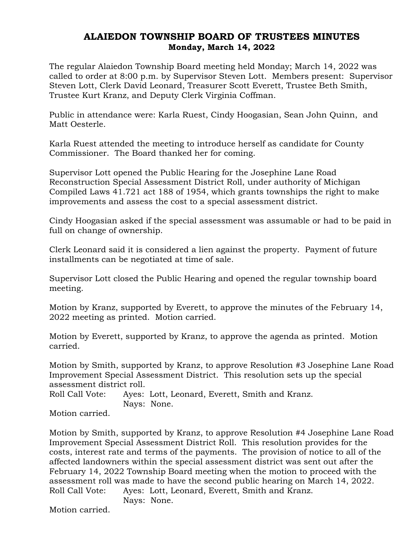## ALAIEDON TOWNSHIP BOARD OF TRUSTEES MINUTES Monday, March 14, 2022

The regular Alaiedon Township Board meeting held Monday; March 14, 2022 was called to order at 8:00 p.m. by Supervisor Steven Lott. Members present: Supervisor Steven Lott, Clerk David Leonard, Treasurer Scott Everett, Trustee Beth Smith, Trustee Kurt Kranz, and Deputy Clerk Virginia Coffman.

Public in attendance were: Karla Ruest, Cindy Hoogasian, Sean John Quinn, and Matt Oesterle.

Karla Ruest attended the meeting to introduce herself as candidate for County Commissioner. The Board thanked her for coming.

Supervisor Lott opened the Public Hearing for the Josephine Lane Road Reconstruction Special Assessment District Roll, under authority of Michigan Compiled Laws 41.721 act 188 of 1954, which grants townships the right to make improvements and assess the cost to a special assessment district.

Cindy Hoogasian asked if the special assessment was assumable or had to be paid in full on change of ownership.

Clerk Leonard said it is considered a lien against the property. Payment of future installments can be negotiated at time of sale.

Supervisor Lott closed the Public Hearing and opened the regular township board meeting.

Motion by Kranz, supported by Everett, to approve the minutes of the February 14, 2022 meeting as printed. Motion carried.

Motion by Everett, supported by Kranz, to approve the agenda as printed. Motion carried.

Motion by Smith, supported by Kranz, to approve Resolution #3 Josephine Lane Road Improvement Special Assessment District. This resolution sets up the special assessment district roll.

Roll Call Vote: Ayes: Lott, Leonard, Everett, Smith and Kranz. Nays: None.

Motion carried.

Motion by Smith, supported by Kranz, to approve Resolution #4 Josephine Lane Road Improvement Special Assessment District Roll. This resolution provides for the costs, interest rate and terms of the payments. The provision of notice to all of the affected landowners within the special assessment district was sent out after the February 14, 2022 Township Board meeting when the motion to proceed with the assessment roll was made to have the second public hearing on March 14, 2022. Roll Call Vote: Ayes: Lott, Leonard, Everett, Smith and Kranz.

Nays: None.

Motion carried.